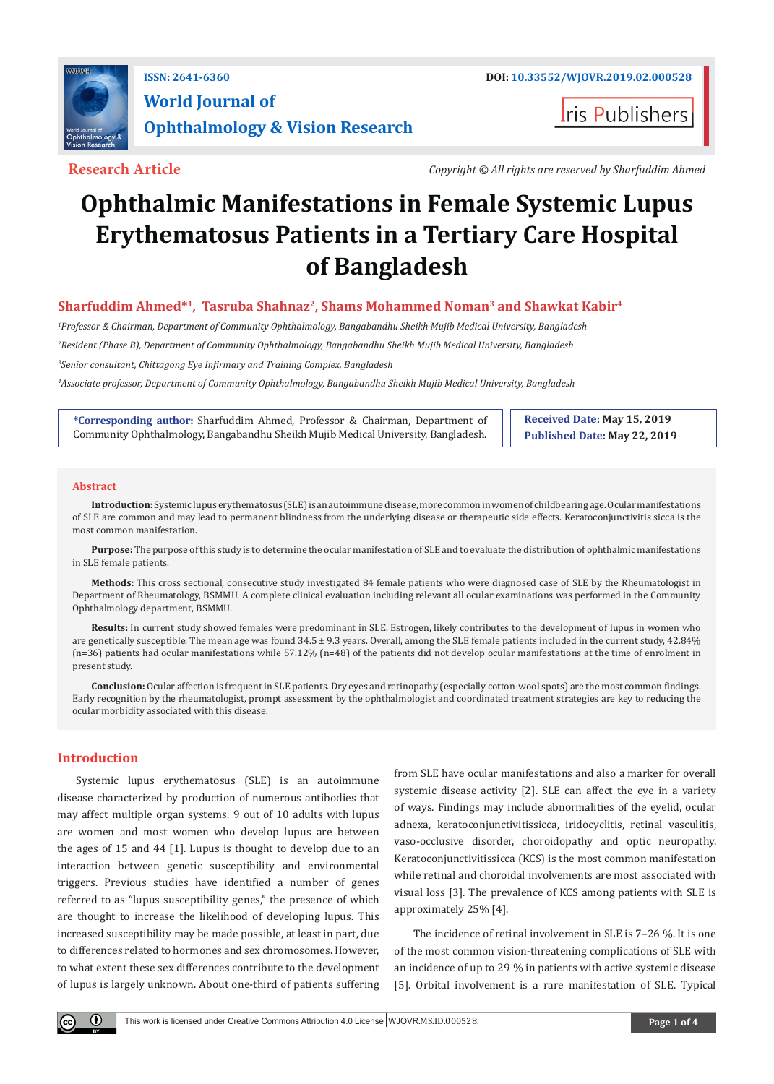

## **ISSN: 2641-6360 DOI: [10.33552/WJOVR.2019.02.000528](http://dx.doi.org/10.33552/WJOVR.2019.02.000528) World Journal of Ophthalmology & Vision Research**

**I**ris Publishers

**Research Article** *Copyright © All rights are reserved by Sharfuddim Ahmed*

# **Ophthalmic Manifestations in Female Systemic Lupus Erythematosus Patients in a Tertiary Care Hospital of Bangladesh**

### **Sharfuddim Ahmed\*1, Tasruba Shahnaz<sup>2</sup>, Shams Mohammed Noman<sup>3</sup> and Shawkat Kabir<sup>4</sup>**

*1 Professor & Chairman, Department of Community Ophthalmology, Bangabandhu Sheikh Mujib Medical University, Bangladesh 2 Resident (Phase B), Department of Community Ophthalmology, Bangabandhu Sheikh Mujib Medical University, Bangladesh 3 Senior consultant, Chittagong Eye Infirmary and Training Complex, Bangladesh* 

*4 Associate professor, Department of Community Ophthalmology, Bangabandhu Sheikh Mujib Medical University, Bangladesh*

**\*Corresponding author:** Sharfuddim Ahmed, Professor & Chairman, Department of Community Ophthalmology, Bangabandhu Sheikh Mujib Medical University, Bangladesh.

**Received Date: May 15, 2019 Published Date: May 22, 2019**

#### **Abstract**

**Introduction:** Systemic lupus erythematosus (SLE) is an autoimmune disease, more common in women of childbearing age. Ocular manifestations of SLE are common and may lead to permanent blindness from the underlying disease or therapeutic side effects. Keratoconjunctivitis sicca is the most common manifestation.

**Purpose:** The purpose of this study is to determine the ocular manifestation of SLE and to evaluate the distribution of ophthalmic manifestations in SLE female patients.

**Methods:** This cross sectional, consecutive study investigated 84 female patients who were diagnosed case of SLE by the Rheumatologist in Department of Rheumatology, BSMMU. A complete clinical evaluation including relevant all ocular examinations was performed in the Community Ophthalmology department, BSMMU.

**Results:** In current study showed females were predominant in SLE. Estrogen, likely contributes to the development of lupus in women who are genetically susceptible. The mean age was found 34.5 ± 9.3 years. Overall, among the SLE female patients included in the current study, 42.84% (n=36) patients had ocular manifestations while 57.12% (n=48) of the patients did not develop ocular manifestations at the time of enrolment in present study.

**Conclusion:** Ocular affection is frequent in SLE patients. Dry eyes and retinopathy (especially cotton-wool spots) are the most common findings. Early recognition by the rheumatologist, prompt assessment by the ophthalmologist and coordinated treatment strategies are key to reducing the ocular morbidity associated with this disease.

#### **Introduction**

Systemic lupus erythematosus (SLE) is an autoimmune disease characterized by production of numerous antibodies that may affect multiple organ systems. 9 out of 10 adults with lupus are women and most women who develop lupus are between the ages of 15 and 44 [1]. Lupus is thought to develop due to an interaction between genetic susceptibility and environmental triggers. Previous studies have identified a number of genes referred to as "lupus susceptibility genes," the presence of which are thought to increase the likelihood of developing lupus. This increased susceptibility may be made possible, at least in part, due to differences related to hormones and sex chromosomes. However, to what extent these sex differences contribute to the development of lupus is largely unknown. About one-third of patients suffering from SLE have ocular manifestations and also a marker for overall systemic disease activity [2]. SLE can affect the eye in a variety of ways. Findings may include abnormalities of the eyelid, ocular adnexa, keratoconjunctivitissicca, iridocyclitis, retinal vasculitis, vaso-occlusive disorder, choroidopathy and optic neuropathy. Keratoconjunctivitissicca (KCS) is the most common manifestation while retinal and choroidal involvements are most associated with visual loss [3]. The prevalence of KCS among patients with SLE is approximately 25% [4].

The incidence of retinal involvement in SLE is 7–26 %. It is one of the most common vision-threatening complications of SLE with an incidence of up to 29 % in patients with active systemic disease [5]. Orbital involvement is a rare manifestation of SLE. Typical

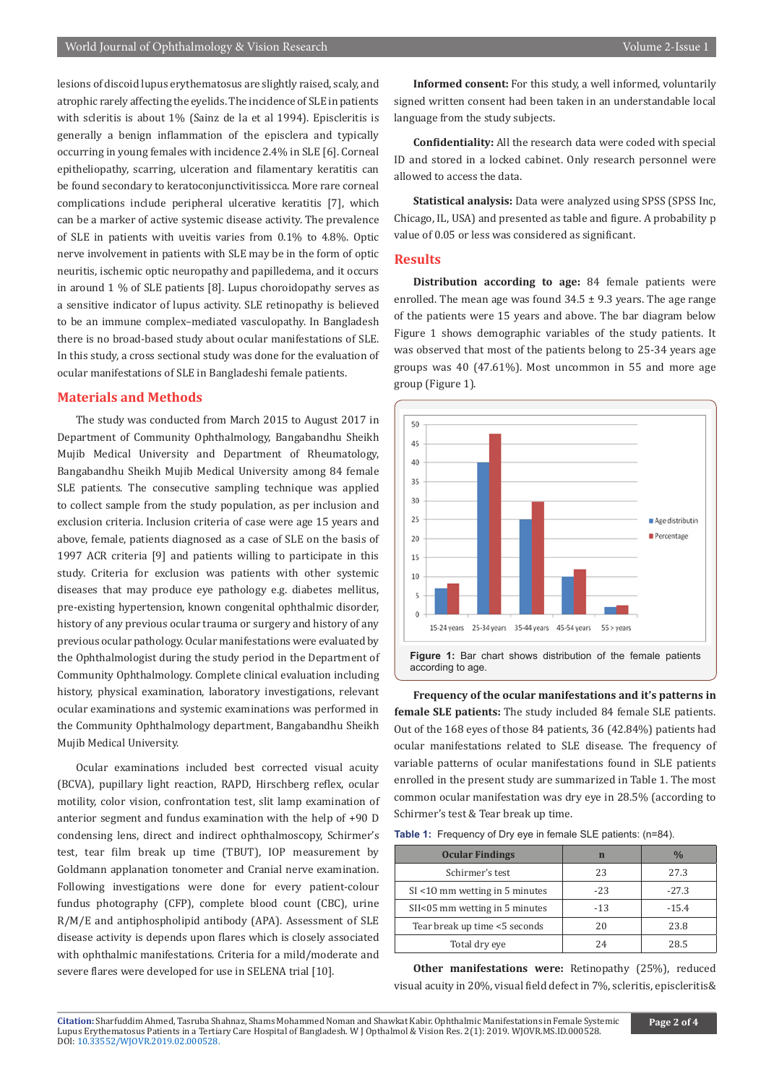lesions of discoid lupus erythematosus are slightly raised, scaly, and atrophic rarely affecting the eyelids. The incidence of SLE in patients with scleritis is about 1% (Sainz de la et al 1994). Episcleritis is generally a benign inflammation of the episclera and typically occurring in young females with incidence 2.4% in SLE [6]. Corneal epitheliopathy, scarring, ulceration and filamentary keratitis can be found secondary to keratoconjunctivitissicca. More rare corneal complications include peripheral ulcerative keratitis [7], which can be a marker of active systemic disease activity. The prevalence of SLE in patients with uveitis varies from 0.1% to 4.8%. Optic nerve involvement in patients with SLE may be in the form of optic neuritis, ischemic optic neuropathy and papilledema, and it occurs in around 1 % of SLE patients [8]. Lupus choroidopathy serves as a sensitive indicator of lupus activity. SLE retinopathy is believed to be an immune complex–mediated vasculopathy. In Bangladesh there is no broad-based study about ocular manifestations of SLE. In this study, a cross sectional study was done for the evaluation of ocular manifestations of SLE in Bangladeshi female patients.

#### **Materials and Methods**

The study was conducted from March 2015 to August 2017 in Department of Community Ophthalmology, Bangabandhu Sheikh Mujib Medical University and Department of Rheumatology, Bangabandhu Sheikh Mujib Medical University among 84 female SLE patients. The consecutive sampling technique was applied to collect sample from the study population, as per inclusion and exclusion criteria. Inclusion criteria of case were age 15 years and above, female, patients diagnosed as a case of SLE on the basis of 1997 ACR criteria [9] and patients willing to participate in this study. Criteria for exclusion was patients with other systemic diseases that may produce eye pathology e.g. diabetes mellitus, pre-existing hypertension, known congenital ophthalmic disorder, history of any previous ocular trauma or surgery and history of any previous ocular pathology. Ocular manifestations were evaluated by the Ophthalmologist during the study period in the Department of Community Ophthalmology. Complete clinical evaluation including history, physical examination, laboratory investigations, relevant ocular examinations and systemic examinations was performed in the Community Ophthalmology department, Bangabandhu Sheikh Mujib Medical University.

Ocular examinations included best corrected visual acuity (BCVA), pupillary light reaction, RAPD, Hirschberg reflex, ocular motility, color vision, confrontation test, slit lamp examination of anterior segment and fundus examination with the help of +90 D condensing lens, direct and indirect ophthalmoscopy, Schirmer's test, tear film break up time (TBUT), IOP measurement by Goldmann applanation tonometer and Cranial nerve examination. Following investigations were done for every patient-colour fundus photography (CFP), complete blood count (CBC), urine R/M/E and antiphospholipid antibody (APA). Assessment of SLE disease activity is depends upon flares which is closely associated with ophthalmic manifestations. Criteria for a mild/moderate and severe flares were developed for use in SELENA trial [10].

**Informed consent:** For this study, a well informed, voluntarily signed written consent had been taken in an understandable local language from the study subjects.

**Confidentiality:** All the research data were coded with special ID and stored in a locked cabinet. Only research personnel were allowed to access the data.

**Statistical analysis:** Data were analyzed using SPSS (SPSS Inc, Chicago, IL, USA) and presented as table and figure. A probability p value of 0.05 or less was considered as significant.

#### **Results**

**Distribution according to age:** 84 female patients were enrolled. The mean age was found  $34.5 \pm 9.3$  years. The age range of the patients were 15 years and above. The bar diagram below Figure 1 shows demographic variables of the study patients. It was observed that most of the patients belong to 25-34 years age groups was 40 (47.61%). Most uncommon in 55 and more age group (Figure 1).



**Frequency of the ocular manifestations and it's patterns in female SLE patients:** The study included 84 female SLE patients. Out of the 168 eyes of those 84 patients, 36 (42.84%) patients had ocular manifestations related to SLE disease. The frequency of variable patterns of ocular manifestations found in SLE patients enrolled in the present study are summarized in Table 1. The most common ocular manifestation was dry eye in 28.5% (according to Schirmer's test & Tear break up time.

|  |  |  | Table 1: Frequency of Dry eye in female SLE patients: (n=84). |  |  |
|--|--|--|---------------------------------------------------------------|--|--|
|--|--|--|---------------------------------------------------------------|--|--|

| <b>Ocular Findings</b>         | n     | $\frac{0}{0}$ |
|--------------------------------|-------|---------------|
| Schirmer's test                | 23    | 27.3          |
| SI <10 mm wetting in 5 minutes | $-23$ | $-27.3$       |
| SII<05 mm wetting in 5 minutes | $-13$ | $-15.4$       |
| Tear break up time <5 seconds  | 20    | 23.8          |
| Total dry eye                  | 24    | 28 5          |

**Other manifestations were:** Retinopathy (25%), reduced visual acuity in 20%, visual field defect in 7%, scleritis, episcleritis&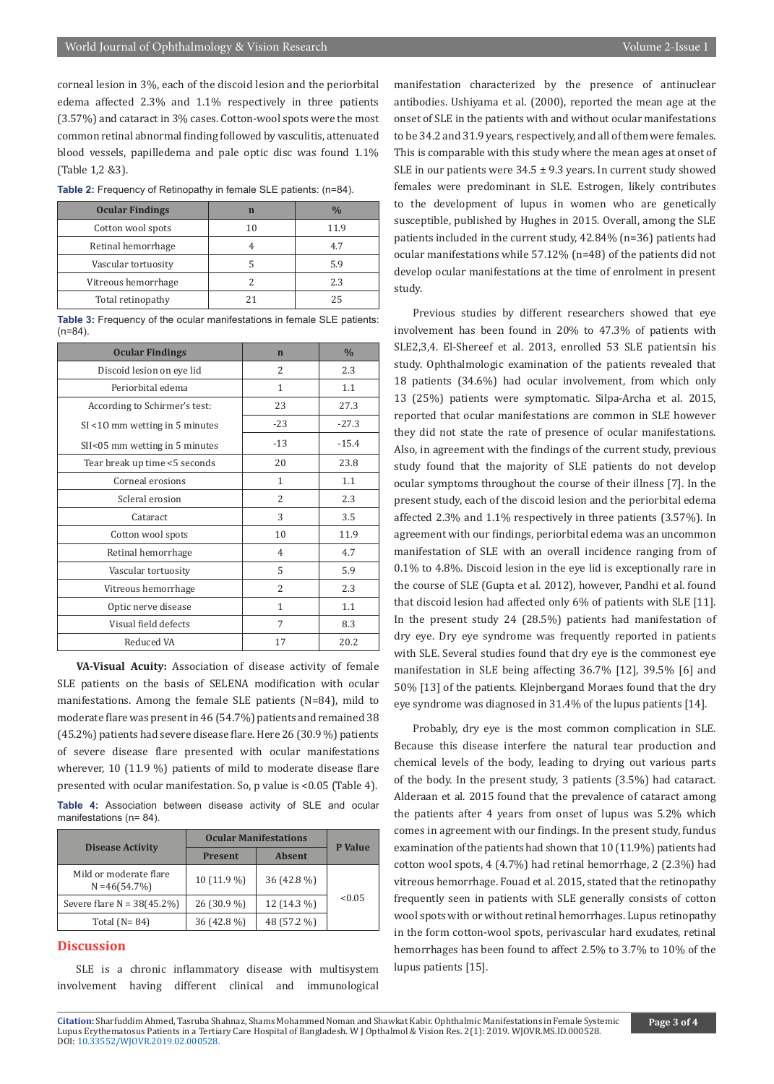corneal lesion in 3%, each of the discoid lesion and the periorbital edema affected 2.3% and 1.1% respectively in three patients (3.57%) and cataract in 3% cases. Cotton-wool spots were the most common retinal abnormal finding followed by vasculitis, attenuated blood vessels, papilledema and pale optic disc was found 1.1% (Table 1,2 &3).

**Table 2:** Frequency of Retinopathy in female SLE patients: (n=84).

| <b>Ocular Findings</b> | n | $\frac{0}{n}$ |
|------------------------|---|---------------|
| Cotton wool spots      |   | 11.9          |
| Retinal hemorrhage     |   | 4.7           |
| Vascular tortuosity    |   | 5.9           |
| Vitreous hemorrhage    |   | 2.3           |
| Total retinopathy      |   |               |

**Table 3:** Frequency of the ocular manifestations in female SLE patients: (n=84).

| <b>Ocular Findings</b>            | $\mathbf n$  | $\frac{0}{0}$ |
|-----------------------------------|--------------|---------------|
| Discoid lesion on eye lid         | 2            | 2.3           |
| Periorbital edema                 | 1            | 1.1           |
| According to Schirmer's test:     | 23           | 27.3          |
| $SI < 10$ mm wetting in 5 minutes | $-23$        | $-27.3$       |
| SII<05 mm wetting in 5 minutes    | $-13$        | $-15.4$       |
| Tear break up time <5 seconds     | 20           | 23.8          |
| Corneal erosions                  | 1            | 1.1           |
| Scleral erosion                   | 2            | 2.3           |
| Cataract                          | 3            | 3.5           |
| Cotton wool spots                 | 10           | 11.9          |
| Retinal hemorrhage                | 4            | 4.7           |
| Vascular tortuosity               | 5            | 5.9           |
| Vitreous hemorrhage               | 2            | 2.3           |
| Optic nerve disease               | $\mathbf{1}$ | 1.1           |
| Visual field defects              | 7            | 8.3           |
| Reduced VA                        | 17           | 20.2          |

**VA-Visual Acuity:** Association of disease activity of female SLE patients on the basis of SELENA modification with ocular manifestations. Among the female SLE patients (N=84), mild to moderate flare was present in 46 (54.7%) patients and remained 38 (45.2%) patients had severe disease flare. Here 26 (30.9 %) patients of severe disease flare presented with ocular manifestations wherever, 10 (11.9 %) patients of mild to moderate disease flare presented with ocular manifestation. So, p value is <0.05 (Table 4). **Table 4:** Association between disease activity of SLE and ocular

|                                           | <b>Ocular Manifestations</b> |               |         |  |
|-------------------------------------------|------------------------------|---------------|---------|--|
| <b>Disease Activity</b>                   | <b>Present</b>               | <b>Absent</b> | P Value |  |
| Mild or moderate flare<br>$N = 46(54.7%)$ | 10 (11.9 %)                  | 36 (42.8 %)   |         |  |
| Severe flare $N = 38(45.2\%)$             | 26 (30.9 %)                  | 12 (14.3 %)   | < 0.05  |  |
| Total $(N=84)$                            | 36 (42.8 %)                  | 48 (57.2 %)   |         |  |

#### **Discussion**

manifestations (n= 84).

SLE is a chronic inflammatory disease with multisystem involvement having different clinical and immunological

manifestation characterized by the presence of antinuclear antibodies. Ushiyama et al. (2000), reported the mean age at the onset of SLE in the patients with and without ocular manifestations to be 34.2 and 31.9 years, respectively, and all of them were females. This is comparable with this study where the mean ages at onset of SLE in our patients were  $34.5 \pm 9.3$  years. In current study showed females were predominant in SLE. Estrogen, likely contributes to the development of lupus in women who are genetically susceptible, published by Hughes in 2015. Overall, among the SLE patients included in the current study, 42.84% (n=36) patients had ocular manifestations while 57.12% (n=48) of the patients did not develop ocular manifestations at the time of enrolment in present study.

Previous studies by different researchers showed that eye involvement has been found in 20% to 47.3% of patients with SLE2,3,4. El-Shereef et al. 2013, enrolled 53 SLE patientsin his study. Ophthalmologic examination of the patients revealed that 18 patients (34.6%) had ocular involvement, from which only 13 (25%) patients were symptomatic. Silpa-Archa et al. 2015, reported that ocular manifestations are common in SLE however they did not state the rate of presence of ocular manifestations. Also, in agreement with the findings of the current study, previous study found that the majority of SLE patients do not develop ocular symptoms throughout the course of their illness [7]. In the present study, each of the discoid lesion and the periorbital edema affected 2.3% and 1.1% respectively in three patients (3.57%). In agreement with our findings, periorbital edema was an uncommon manifestation of SLE with an overall incidence ranging from of 0.1% to 4.8%. Discoid lesion in the eye lid is exceptionally rare in the course of SLE (Gupta et al. 2012), however, Pandhi et al. found that discoid lesion had affected only 6% of patients with SLE [11]. In the present study 24 (28.5%) patients had manifestation of dry eye. Dry eye syndrome was frequently reported in patients with SLE. Several studies found that dry eye is the commonest eye manifestation in SLE being affecting 36.7% [12], 39.5% [6] and 50% [13] of the patients. Klejnbergand Moraes found that the dry eye syndrome was diagnosed in 31.4% of the lupus patients [14].

Probably, dry eye is the most common complication in SLE. Because this disease interfere the natural tear production and chemical levels of the body, leading to drying out various parts of the body. In the present study, 3 patients (3.5%) had cataract. Alderaan et al. 2015 found that the prevalence of cataract among the patients after 4 years from onset of lupus was 5.2% which comes in agreement with our findings. In the present study, fundus examination of the patients had shown that 10 (11.9%) patients had cotton wool spots, 4 (4.7%) had retinal hemorrhage, 2 (2.3%) had vitreous hemorrhage. Fouad et al. 2015, stated that the retinopathy frequently seen in patients with SLE generally consists of cotton wool spots with or without retinal hemorrhages. Lupus retinopathy in the form cotton-wool spots, perivascular hard exudates, retinal hemorrhages has been found to affect 2.5% to 3.7% to 10% of the lupus patients [15].

**Citation:** Sharfuddim Ahmed, Tasruba Shahnaz, Shams Mohammed Noman and Shawkat Kabir. Ophthalmic Manifestations in Female Systemic Lup[us Erythematosus Patients in a Terti](http://dx.doi.org/10.33552/WJOVR.2019.02.000528)ary Care Hospital of Bangladesh. W J Opthalmol & Vision Res. 2(1): 2019. WJOVR.MS.ID.000528. DOI: 10.33552/WJOVR.2019.02.000528.